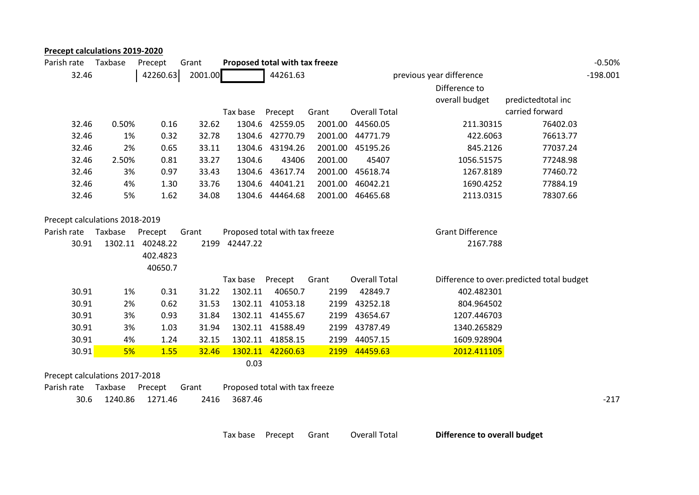| <b>Precept calculations 2019-2020</b> |         |                  |         |                                |                                |         |                      |                          |                                           |            |
|---------------------------------------|---------|------------------|---------|--------------------------------|--------------------------------|---------|----------------------|--------------------------|-------------------------------------------|------------|
| Parish rate                           | Taxbase | Precept          | Grant   | Proposed total with tax freeze |                                |         |                      |                          |                                           | $-0.50%$   |
| 32.46                                 |         | 42260.63         | 2001.00 |                                | 44261.63                       |         |                      | previous year difference |                                           | $-198.001$ |
|                                       |         |                  |         |                                |                                |         |                      | Difference to            |                                           |            |
|                                       |         |                  |         |                                |                                |         |                      | overall budget           | predictedtotal inc                        |            |
|                                       |         |                  |         | Tax base                       | Precept                        | Grant   | <b>Overall Total</b> |                          | carried forward                           |            |
| 32.46                                 | 0.50%   | 0.16             | 32.62   |                                | 1304.6 42559.05                | 2001.00 | 44560.05             | 211.30315                | 76402.03                                  |            |
| 32.46                                 | 1%      | 0.32             | 32.78   |                                | 1304.6 42770.79                | 2001.00 | 44771.79             | 422.6063                 | 76613.77                                  |            |
| 32.46                                 | 2%      | 0.65             | 33.11   |                                | 1304.6 43194.26                | 2001.00 | 45195.26             | 845.2126                 | 77037.24                                  |            |
| 32.46                                 | 2.50%   | 0.81             | 33.27   | 1304.6                         | 43406                          | 2001.00 | 45407                | 1056.51575               | 77248.98                                  |            |
| 32.46                                 | 3%      | 0.97             | 33.43   | 1304.6                         | 43617.74                       | 2001.00 | 45618.74             | 1267.8189                | 77460.72                                  |            |
| 32.46                                 | 4%      | 1.30             | 33.76   | 1304.6                         | 44041.21                       | 2001.00 | 46042.21             | 1690.4252                | 77884.19                                  |            |
| 32.46                                 | 5%      | 1.62             | 34.08   |                                | 1304.6 44464.68                |         | 2001.00 46465.68     | 2113.0315                | 78307.66                                  |            |
| Precept calculations 2018-2019        |         |                  |         |                                |                                |         |                      |                          |                                           |            |
| Parish rate                           | Taxbase | Precept          | Grant   |                                | Proposed total with tax freeze |         |                      | <b>Grant Difference</b>  |                                           |            |
| 30.91                                 |         | 1302.11 40248.22 |         | 2199 42447.22                  |                                |         |                      | 2167.788                 |                                           |            |
|                                       |         | 402.4823         |         |                                |                                |         |                      |                          |                                           |            |
|                                       |         | 40650.7          |         |                                |                                |         |                      |                          |                                           |            |
|                                       |         |                  |         | Tax base                       | Precept                        | Grant   | <b>Overall Total</b> |                          | Difference to over predicted total budget |            |
| 30.91                                 | 1%      | 0.31             | 31.22   | 1302.11                        | 40650.7                        | 2199    | 42849.7              | 402.482301               |                                           |            |
| 30.91                                 | 2%      | 0.62             | 31.53   |                                | 1302.11 41053.18               | 2199    | 43252.18             | 804.964502               |                                           |            |
| 30.91                                 | 3%      | 0.93             | 31.84   |                                | 1302.11 41455.67               | 2199    | 43654.67             | 1207.446703              |                                           |            |
| 30.91                                 | 3%      | 1.03             | 31.94   |                                | 1302.11 41588.49               | 2199    | 43787.49             | 1340.265829              |                                           |            |
| 30.91                                 | 4%      | 1.24             | 32.15   |                                | 1302.11 41858.15               | 2199    | 44057.15             | 1609.928904              |                                           |            |
| 30.91                                 | 5%      | 1.55             | 32.46   | 1302.11                        | 42260.63                       | 2199    | 44459.63             | 2012.411105              |                                           |            |
|                                       |         |                  |         | 0.03                           |                                |         |                      |                          |                                           |            |
| Precept calculations 2017-2018        |         |                  |         |                                |                                |         |                      |                          |                                           |            |
| Parish rate                           | Taxbase | Precept          | Grant   |                                | Proposed total with tax freeze |         |                      |                          |                                           |            |
| 30.6                                  | 1240.86 | 1271.46          | 2416    | 3687.46                        |                                |         |                      |                          |                                           | $-217$     |

Tax base Precept Grant Overall Total **Difference to overall budget**